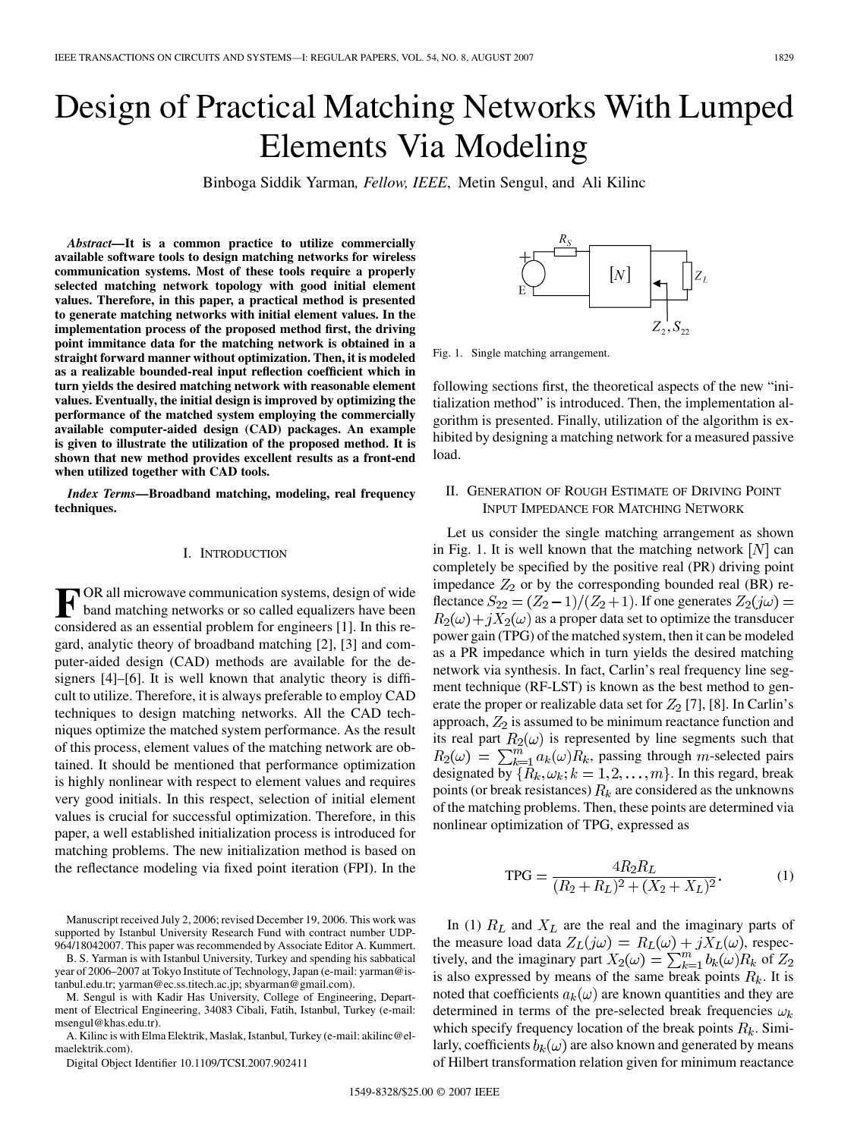# Design of Practical Matching Networks With Lumped Elements Via Modeling

Binboga Siddik Yarman*, Fellow, IEEE*, Metin Sengul, and Ali Kilinc

*Abstract—***It is a common practice to utilize commercially available software tools to design matching networks for wireless communication systems. Most of these tools require a properly selected matching network topology with good initial element values. Therefore, in this paper, a practical method is presented to generate matching networks with initial element values. In the implementation process of the proposed method first, the driving point immitance data for the matching network is obtained in a straight forward manner without optimization. Then, it is modeled as a realizable bounded-real input reflection coefficient which in turn yields the desired matching network with reasonable element values. Eventually, the initial design is improved by optimizing the performance of the matched system employing the commercially available computer-aided design (CAD) packages. An example is given to illustrate the utilization of the proposed method. It is shown that new method provides excellent results as a front-end when utilized together with CAD tools.**

*Index Terms—***Broadband matching, modeling, real frequency techniques.**

#### I. INTRODUCTION

**F** OR all microwave communication systems, design of wide<br>band matching networks or so called equalizers have been<br>considered as an assemble problem for angipears [1]. In this reconsidered as an essential problem for engineers [1]. In this regard, analytic theory of broadband matching [2], [3] and computer-aided design (CAD) methods are available for the designers [4]–[6]. It is well known that analytic theory is difficult to utilize. Therefore, it is always preferable to employ CAD techniques to design matching networks. All the CAD techniques optimize the matched system performance. As the result of this process, element values of the matching network are obtained. It should be mentioned that performance optimization is highly nonlinear with respect to element values and requires very good initials. In this respect, selection of initial element values is crucial for successful optimization. Therefore, in this paper, a well established initialization process is introduced for matching problems. The new initialization method is based on the reflectance modeling via fixed point iteration (FPI). In the

Manuscript received July 2, 2006; revised December 19, 2006. This work was supported by Istanbul University Research Fund with contract number UDP-964/18042007. This paper was recommended by Associate Editor A. Kummert.

B. S. Yarman is with Istanbul University, Turkey and spending his sabbatical year of 2006–2007 at Tokyo Institute of Technology, Japan (e-mail: yarman@istanbul.edu.tr; yarman@ec.ss.titech.ac.jp; sbyarman@gmail.com).

M. Sengul is with Kadir Has University, College of Engineering, Department of Electrical Engineering, 34083 Cibali, Fatih, Istanbul, Turkey (e-mail: msengul@khas.edu.tr).

A. Kilinc is with Elma Elektrik, Maslak, Istanbul, Turkey (e-mail: akilinc@elmaelektrik.com).

Digital Object Identifier 10.1109/TCSI.2007.902411

 $[N]$  $\Box$ 

Fig. 1. Single matching arrangement.

following sections first, the theoretical aspects of the new "initialization method" is introduced. Then, the implementation algorithm is presented. Finally, utilization of the algorithm is exhibited by designing a matching network for a measured passive load.

# II. GENERATION OF ROUGH ESTIMATE OF DRIVING POINT INPUT IMPEDANCE FOR MATCHING NETWORK

Let us consider the single matching arrangement as shown in Fig. 1. It is well known that the matching network  $[N]$  can completely be specified by the positive real (PR) driving point impedance  $Z_2$  or by the corresponding bounded real (BR) reflectance  $S_{22} = (Z_2 - 1)/(Z_2 + 1)$ . If one generates  $Z_2(j\omega) =$  $R_2(\omega) + jX_2(\omega)$  as a proper data set to optimize the transducer power gain (TPG) of the matched system, then it can be modeled as a PR impedance which in turn yields the desired matching network via synthesis. In fact, Carlin's real frequency line segment technique (RF-LST) is known as the best method to generate the proper or realizable data set for  $Z_2$  [7], [8]. In Carlin's approach,  $Z_2$  is assumed to be minimum reactance function and its real part  $R_2(\omega)$  is represented by line segments such that  $R_2(\omega) = \sum_{k=1}^{m} a_k(\omega) R_k$ , passing through m-selected pairs designated by  $\overline{R}_k, \omega_k; k = 1, 2, ..., m$ . In this regard, break points (or break resistances)  $R_k$  are considered as the unknowns of the matching problems. Then, these points are determined via nonlinear optimization of TPG, expressed as

$$
TPG = \frac{4R_2R_L}{(R_2 + R_L)^2 + (X_2 + X_L)^2}.
$$
 (1)

In (1)  $R_L$  and  $X_L$  are the real and the imaginary parts of the measure load data  $Z_L(j\omega) = R_L(\omega) + jX_L(\omega)$ , respectively, and the imaginary part  $X_2(\omega) = \sum_{k=1}^m b_k(\omega) R_k$  of is also expressed by means of the same break points  $R_k$ . It is noted that coefficients  $a_k(\omega)$  are known quantities and they are determined in terms of the pre-selected break frequencies  $\omega_k$ which specify frequency location of the break points  $R_k$ . Similarly, coefficients  $b_k(\omega)$  are also known and generated by means of Hilbert transformation relation given for minimum reactance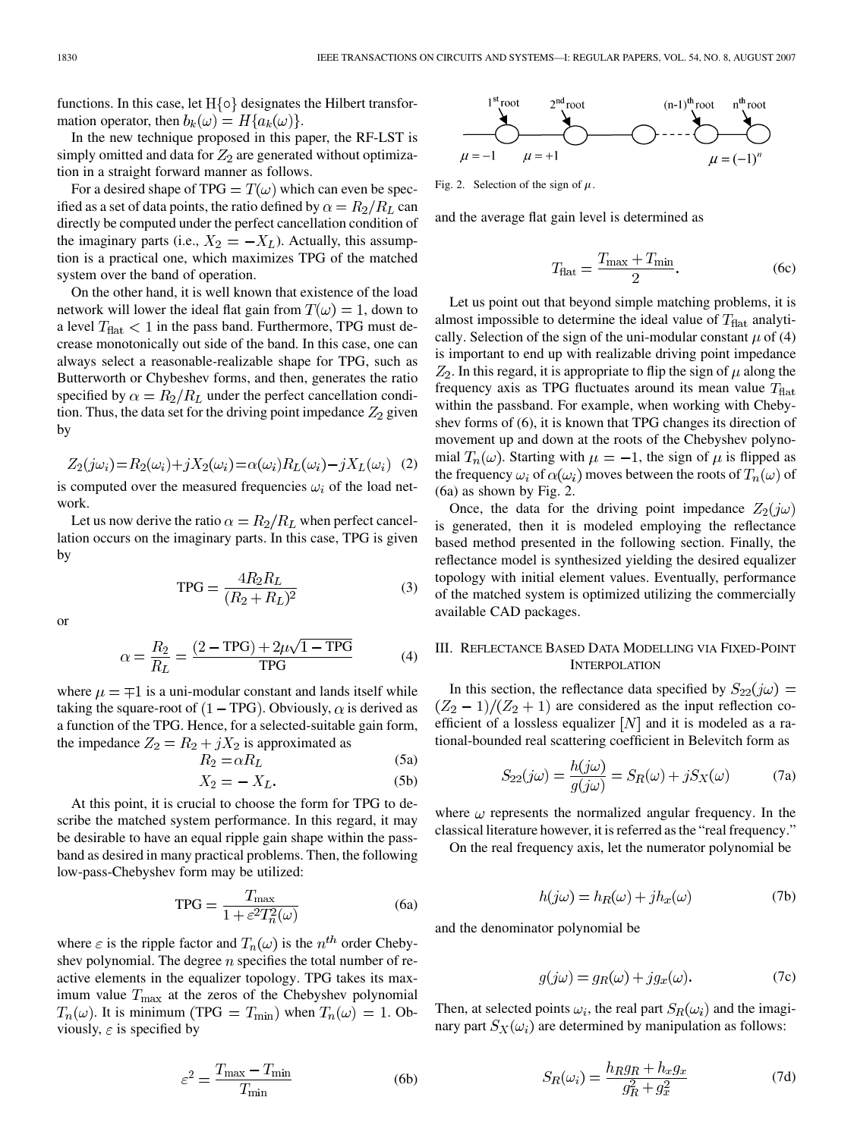functions. In this case, let  $H\{\circ\}$  designates the Hilbert transformation operator, then  $b_k(\omega) = H\{a_k(\omega)\}.$ 

In the new technique proposed in this paper, the RF-LST is simply omitted and data for  $Z_2$  are generated without optimization in a straight forward manner as follows.

For a desired shape of TPG =  $T(\omega)$  which can even be specified as a set of data points, the ratio defined by  $\alpha = R_2/R_L$  can directly be computed under the perfect cancellation condition of the imaginary parts (i.e.,  $X_2 = -X_L$ ). Actually, this assumption is a practical one, which maximizes TPG of the matched system over the band of operation.

On the other hand, it is well known that existence of the load network will lower the ideal flat gain from  $T(\omega) = 1$ , down to a level  $T_{\text{flat}} < 1$  in the pass band. Furthermore, TPG must decrease monotonically out side of the band. In this case, one can always select a reasonable-realizable shape for TPG, such as Butterworth or Chybeshev forms, and then, generates the ratio specified by  $\alpha = R_2/R_L$  under the perfect cancellation condition. Thus, the data set for the driving point impedance  $Z_2$  given by

$$
Z_2(j\omega_i) = R_2(\omega_i) + jX_2(\omega_i) = \alpha(\omega_i)R_L(\omega_i) - jX_L(\omega_i)
$$
 (2)

is computed over the measured frequencies  $\omega_i$  of the load network.

Let us now derive the ratio  $\alpha = R_2/R_L$  when perfect cancellation occurs on the imaginary parts. In this case, TPG is given by

$$
TPG = \frac{4R_2R_L}{(R_2 + R_L)^2}
$$
 (3)

or

$$
\alpha = \frac{R_2}{R_L} = \frac{(2 - \text{TPG}) + 2\mu\sqrt{1 - \text{TPG}}}{\text{TPG}} \tag{4}
$$

where  $\mu = \pm 1$  is a uni-modular constant and lands itself while taking the square-root of  $(1 - TPG)$ . Obviously,  $\alpha$  is derived as a function of the TPG. Hence, for a selected-suitable gain form, the impedance  $Z_2 = R_2 + jX_2$  is approximated as  $(5a)$ 

$$
R_2 = \alpha R_L \tag{5a}
$$

$$
X_2 = -X_L. \tag{5b}
$$

At this point, it is crucial to choose the form for TPG to describe the matched system performance. In this regard, it may be desirable to have an equal ripple gain shape within the passband as desired in many practical problems. Then, the following low-pass-Chebyshev form may be utilized:

$$
TPG = \frac{T_{\text{max}}}{1 + \varepsilon^2 T_n^2(\omega)}\tag{6a}
$$

where  $\varepsilon$  is the ripple factor and  $T_n(\omega)$  is the  $n^{th}$  order Chebyshev polynomial. The degree  $n$  specifies the total number of reactive elements in the equalizer topology. TPG takes its maximum value  $T_{\text{max}}$  at the zeros of the Chebyshev polynomial  $T_n(\omega)$ . It is minimum (TPG =  $T_{\text{min}}$ ) when  $T_n(\omega) = 1$ . Obviously,  $\varepsilon$  is specified by

$$
\varepsilon^2 = \frac{T_{\text{max}} - T_{\text{min}}}{T_{\text{min}}} \tag{6b}
$$



Fig. 2. Selection of the sign of  $\mu$ .

and the average flat gain level is determined as

$$
T_{\text{flat}} = \frac{T_{\text{max}} + T_{\text{min}}}{2}.
$$
 (6c)

Let us point out that beyond simple matching problems, it is almost impossible to determine the ideal value of  $T_{\text{flat}}$  analytically. Selection of the sign of the uni-modular constant  $\mu$  of (4) is important to end up with realizable driving point impedance  $Z_2$ . In this regard, it is appropriate to flip the sign of  $\mu$  along the frequency axis as TPG fluctuates around its mean value  $T_{\text{flat}}$ within the passband. For example, when working with Chebyshev forms of (6), it is known that TPG changes its direction of movement up and down at the roots of the Chebyshev polynomial  $T_n(\omega)$ . Starting with  $\mu = -1$ , the sign of  $\mu$  is flipped as the frequency  $\omega_i$  of  $\alpha(\omega_i)$  moves between the roots of  $T_n(\omega)$  of (6a) as shown by Fig. 2.

Once, the data for the driving point impedance  $Z_2(j\omega)$ is generated, then it is modeled employing the reflectance based method presented in the following section. Finally, the reflectance model is synthesized yielding the desired equalizer topology with initial element values. Eventually, performance of the matched system is optimized utilizing the commercially available CAD packages.

# III. REFLECTANCE BASED DATA MODELLING VIA FIXED-POINT **INTERPOLATION**

In this section, the reflectance data specified by  $S_{22}(j\omega)$  =  $(Z_2-1)/(Z_2+1)$  are considered as the input reflection coefficient of a lossless equalizer  $[N]$  and it is modeled as a rational-bounded real scattering coefficient in Belevitch form as

$$
S_{22}(j\omega) = \frac{h(j\omega)}{g(j\omega)} = S_R(\omega) + jS_X(\omega)
$$
 (7a)

where  $\omega$  represents the normalized angular frequency. In the classical literature however, it is referred as the "real frequency."

On the real frequency axis, let the numerator polynomial be

$$
h(j\omega) = h_R(\omega) + jh_x(\omega)
$$
 (7b)

and the denominator polynomial be

$$
g(j\omega) = g_R(\omega) + jg_x(\omega). \tag{7c}
$$

Then, at selected points  $\omega_i$ , the real part  $S_R(\omega_i)$  and the imaginary part  $S_X(\omega_i)$  are determined by manipulation as follows:

$$
S_R(\omega_i) = \frac{h_R g_R + h_x g_x}{g_R^2 + g_x^2}
$$
 (7d)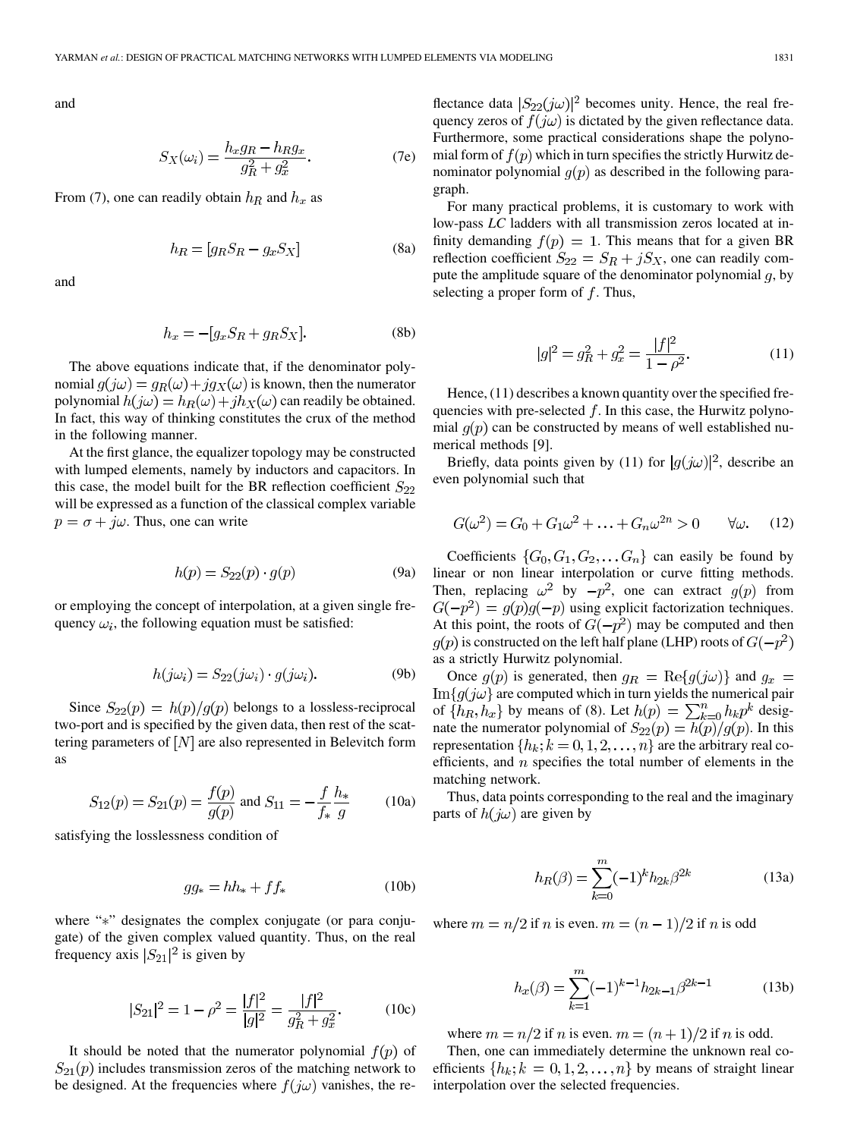and

$$
S_X(\omega_i) = \frac{h_x g_R - h_R g_x}{g_R^2 + g_x^2}.
$$
 (7e)

From (7), one can readily obtain  $h_R$  and  $h_x$  as

$$
h_R = [g_R S_R - g_x S_X] \tag{8a}
$$

and

$$
h_x = -[g_x S_R + g_R S_X].
$$
 (8b)

The above equations indicate that, if the denominator polynomial  $g(j\omega) = g_R(\omega) + ig_X(\omega)$  is known, then the numerator polynomial  $h(j\omega) = h_R(\omega) + jh_X(\omega)$  can readily be obtained. In fact, this way of thinking constitutes the crux of the method in the following manner.

At the first glance, the equalizer topology may be constructed with lumped elements, namely by inductors and capacitors. In this case, the model built for the BR reflection coefficient  $S_{22}$ will be expressed as a function of the classical complex variable  $p = \sigma + j\omega$ . Thus, one can write

$$
h(p) = S_{22}(p) \cdot g(p) \tag{9a}
$$

or employing the concept of interpolation, at a given single frequency  $\omega_i$ , the following equation must be satisfied:

$$
h(j\omega_i) = S_{22}(j\omega_i) \cdot g(j\omega_i). \tag{9b}
$$

Since  $S_{22}(p) = h(p)/g(p)$  belongs to a lossless-reciprocal two-port and is specified by the given data, then rest of the scattering parameters of  $[N]$  are also represented in Belevitch form as

$$
S_{12}(p) = S_{21}(p) = \frac{f(p)}{g(p)}
$$
 and  $S_{11} = -\frac{f}{f_*} \frac{h_*}{g}$  (10a)

satisfying the losslessness condition of

$$
gg_* = hh_* + ff_*
$$
 (10b)

where "\*" designates the complex conjugate (or para conjugate) of the given complex valued quantity. Thus, on the real frequency axis  $|S_{21}|^2$  is given by

$$
|S_{21}|^2 = 1 - \rho^2 = \frac{|f|^2}{|g|^2} = \frac{|f|^2}{g_R^2 + g_x^2}.
$$
 (10c)

It should be noted that the numerator polynomial  $f(p)$  of  $S_{21}(p)$  includes transmission zeros of the matching network to be designed. At the frequencies where  $f(j\omega)$  vanishes, the reflectance data  $|S_{22}(j\omega)|^2$  becomes unity. Hence, the real frequency zeros of  $f(j\omega)$  is dictated by the given reflectance data. Furthermore, some practical considerations shape the polynomial form of  $f(p)$  which in turn specifies the strictly Hurwitz denominator polynomial  $g(p)$  as described in the following paragraph.

For many practical problems, it is customary to work with low-pass *LC* ladders with all transmission zeros located at infinity demanding  $f(p) = 1$ . This means that for a given BR reflection coefficient  $S_{22} = S_R + jS_X$ , one can readily compute the amplitude square of the denominator polynomial  $q$ , by selecting a proper form of  $f$ . Thus,

$$
|g|^2 = g_R^2 + g_x^2 = \frac{|f|^2}{1 - \rho^2}.
$$
 (11)

Hence,  $(11)$  describes a known quantity over the specified frequencies with pre-selected  $f$ . In this case, the Hurwitz polynomial  $q(p)$  can be constructed by means of well established numerical methods [9].

Briefly, data points given by (11) for  $|g(j\omega)|^2$ , describe an even polynomial such that

$$
G(\omega^2) = G_0 + G_1 \omega^2 + \ldots + G_n \omega^{2n} > 0 \quad \forall \omega. \quad (12)
$$

Coefficients  $\{G_0, G_1, G_2, \ldots, G_n\}$  can easily be found by linear or non linear interpolation or curve fitting methods. Then, replacing  $\omega^2$  by  $-p^2$ , one can extract  $g(p)$  from  $G(-p^2) = g(p)g(-p)$  using explicit factorization techniques. At this point, the roots of  $G(-p^2)$  may be computed and then  $g(p)$  is constructed on the left half plane (LHP) roots of  $G(-p^2)$ as a strictly Hurwitz polynomial.

Once  $g(p)$  is generated, then  $g_R = \text{Re}{g(j\omega)}$  and  $g_x =$  $\text{Im} \{g(j\omega)\}\$ are computed which in turn yields the numerical pair of  $\{h_R, h_x\}$  by means of (8). Let  $h(p) = \sum_{k=0}^n h_k p^k$  designate the numerator polynomial of  $S_{22}(p) = h(p)/g(p)$ . In this representation  $\{h_k; k = 0, 1, 2, \ldots, n\}$  are the arbitrary real coefficients, and  $n$  specifies the total number of elements in the matching network.

Thus, data points corresponding to the real and the imaginary parts of  $h(j\omega)$  are given by

$$
h_R(\beta) = \sum_{k=0}^{m} (-1)^k h_{2k} \beta^{2k}
$$
 (13a)

where  $m = n/2$  if n is even.  $m = (n - 1)/2$  if n is odd

$$
h_x(\beta) = \sum_{k=1}^{m} (-1)^{k-1} h_{2k-1} \beta^{2k-1}
$$
 (13b)

where  $m = n/2$  if n is even.  $m = (n + 1)/2$  if n is odd.

Then, one can immediately determine the unknown real coefficients  $\{h_k; k = 0, 1, 2, \dots, n\}$  by means of straight linear interpolation over the selected frequencies.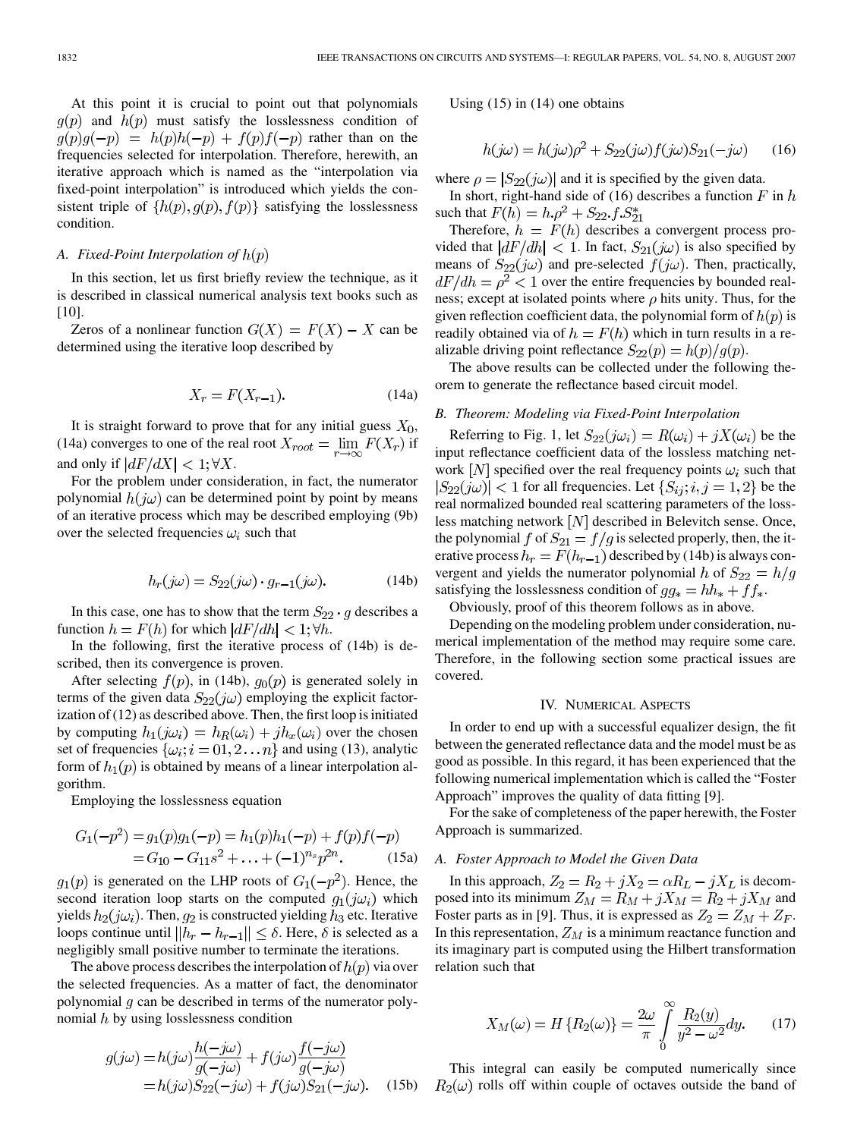At this point it is crucial to point out that polynomials  $q(p)$  and  $h(p)$  must satisfy the losslessness condition of  $g(p)g(-p) = h(p)h(-p) + f(p)f(-p)$  rather than on the frequencies selected for interpolation. Therefore, herewith, an iterative approach which is named as the "interpolation via fixed-point interpolation" is introduced which yields the consistent triple of  $\{h(p), g(p), f(p)\}\$  satisfying the losslessness condition.

## *A. Fixed-Point Interpolation of*

In this section, let us first briefly review the technique, as it is described in classical numerical analysis text books such as [10].

Zeros of a nonlinear function  $G(X) = F(X) - X$  can be determined using the iterative loop described by

$$
X_r = F(X_{r-1}).\tag{14a}
$$

It is straight forward to prove that for any initial guess  $X_0$ , (14a) converges to one of the real root  $X_{root} = \lim_{r \to \infty} F(X_r)$  if and only if  $\left| \frac{dF}{dX} \right| < 1$ ;  $\forall X$ .

For the problem under consideration, in fact, the numerator polynomial  $h(j\omega)$  can be determined point by point by means of an iterative process which may be described employing (9b) over the selected frequencies  $\omega_i$  such that

$$
h_r(j\omega) = S_{22}(j\omega) \cdot g_{r-1}(j\omega). \tag{14b}
$$

In this case, one has to show that the term  $S_{22} \cdot g$  describes a function  $h = F(h)$  for which  $\left| \frac{dF}{dh} \right| < 1$ ;  $\forall h$ .

In the following, first the iterative process of (14b) is described, then its convergence is proven.

After selecting  $f(p)$ , in (14b),  $g_0(p)$  is generated solely in terms of the given data  $S_{22}(j\omega)$  employing the explicit factorization of (12) as described above. Then, the first loop is initiated by computing  $h_1(j\omega_i) = h_R(\omega_i) + jh_x(\omega_i)$  over the chosen set of frequencies  $\{\omega_i; i = 0, 2 \dots n\}$  and using (13), analytic form of  $h_1(p)$  is obtained by means of a linear interpolation algorithm.

Employing the losslessness equation

$$
G_1(-p^2) = g_1(p)g_1(-p) = h_1(p)h_1(-p) + f(p)f(-p)
$$
  
=  $G_{10} - G_{11}s^2 + ... + (-1)^{n_s}p^{2n}$ . (15a)

 $g_1(p)$  is generated on the LHP roots of  $G_1(-p^2)$ . Hence, the second iteration loop starts on the computed  $g_1(j\omega_i)$  which yields  $h_2(j\omega_i)$ . Then,  $g_2$  is constructed yielding  $h_3$  etc. Iterative loops continue until  $||h_r - h_{r-1}|| \leq \delta$ . Here,  $\delta$  is selected as a negligibly small positive number to terminate the iterations.

The above process describes the interpolation of  $h(p)$  via over the selected frequencies. As a matter of fact, the denominator polynomial  $g$  can be described in terms of the numerator polynomial  $h$  by using losslessness condition

$$
g(j\omega) = h(j\omega)\frac{h(-j\omega)}{g(-j\omega)} + f(j\omega)\frac{f(-j\omega)}{g(-j\omega)}
$$
  
=  $h(j\omega)S_{22}(-j\omega) + f(j\omega)S_{21}(-j\omega).$  (15b)

Using (15) in (14) one obtains

$$
h(j\omega) = h(j\omega)\rho^2 + S_{22}(j\omega)f(j\omega)S_{21}(-j\omega)
$$
 (16)

where  $\rho = |S_{22}(j\omega)|$  and it is specified by the given data.

In short, right-hand side of (16) describes a function  $F$  in  $h$ such that  $F(h) = h \cdot \rho^2 + S_{22} \cdot f \cdot S_{21}^*$ 

Therefore,  $h = F(h)$  describes a convergent process provided that  $|dF/dh| < 1$ . In fact,  $S_{21}(j\omega)$  is also specified by means of  $S_{22}(j\omega)$  and pre-selected  $f(j\omega)$ . Then, practically,  $dF/dh = \rho^2 < 1$  over the entire frequencies by bounded realness; except at isolated points where  $\rho$  hits unity. Thus, for the given reflection coefficient data, the polynomial form of  $h(p)$  is readily obtained via of  $h = F(h)$  which in turn results in a realizable driving point reflectance  $S_{22}(p) = h(p)/g(p)$ .

The above results can be collected under the following theorem to generate the reflectance based circuit model.

## *B. Theorem: Modeling via Fixed-Point Interpolation*

Referring to Fig. 1, let  $S_{22}(j\omega_i) = R(\omega_i) + jX(\omega_i)$  be the input reflectance coefficient data of the lossless matching network  $[N]$  specified over the real frequency points  $\omega_i$  such that  $|S_{22}(j\omega)| < 1$  for all frequencies. Let  $\{S_{ij}; i,j = 1,2\}$  be the real normalized bounded real scattering parameters of the lossless matching network  $[N]$  described in Belevitch sense. Once, the polynomial f of  $S_{21} = f/g$  is selected properly, then, the iterative process  $h_r = F(h_{r-1})$  described by (14b) is always convergent and yields the numerator polynomial h of  $S_{22} = h/g$ satisfying the losslessness condition of  $gg_* = hh_* + ff_*$ .

Obviously, proof of this theorem follows as in above.

Depending on the modeling problem under consideration, numerical implementation of the method may require some care. Therefore, in the following section some practical issues are covered.

#### IV. NUMERICAL ASPECTS

In order to end up with a successful equalizer design, the fit between the generated reflectance data and the model must be as good as possible. In this regard, it has been experienced that the following numerical implementation which is called the "Foster Approach" improves the quality of data fitting [9].

For the sake of completeness of the paper herewith, the Foster Approach is summarized.

#### *A. Foster Approach to Model the Given Data*

In this approach,  $Z_2 = R_2 + jX_2 = \alpha R_L - jX_L$  is decomposed into its minimum  $Z_M = R_M + jX_M = R_2 + jX_M$  and Foster parts as in [9]. Thus, it is expressed as  $Z_2 = Z_M + Z_F$ . In this representation,  $Z_M$  is a minimum reactance function and its imaginary part is computed using the Hilbert transformation relation such that

$$
X_M(\omega) = H\left\{R_2(\omega)\right\} = \frac{2\omega}{\pi} \int_0^\infty \frac{R_2(y)}{y^2 - \omega^2} dy. \tag{17}
$$

This integral can easily be computed numerically since  $R_2(\omega)$  rolls off within couple of octaves outside the band of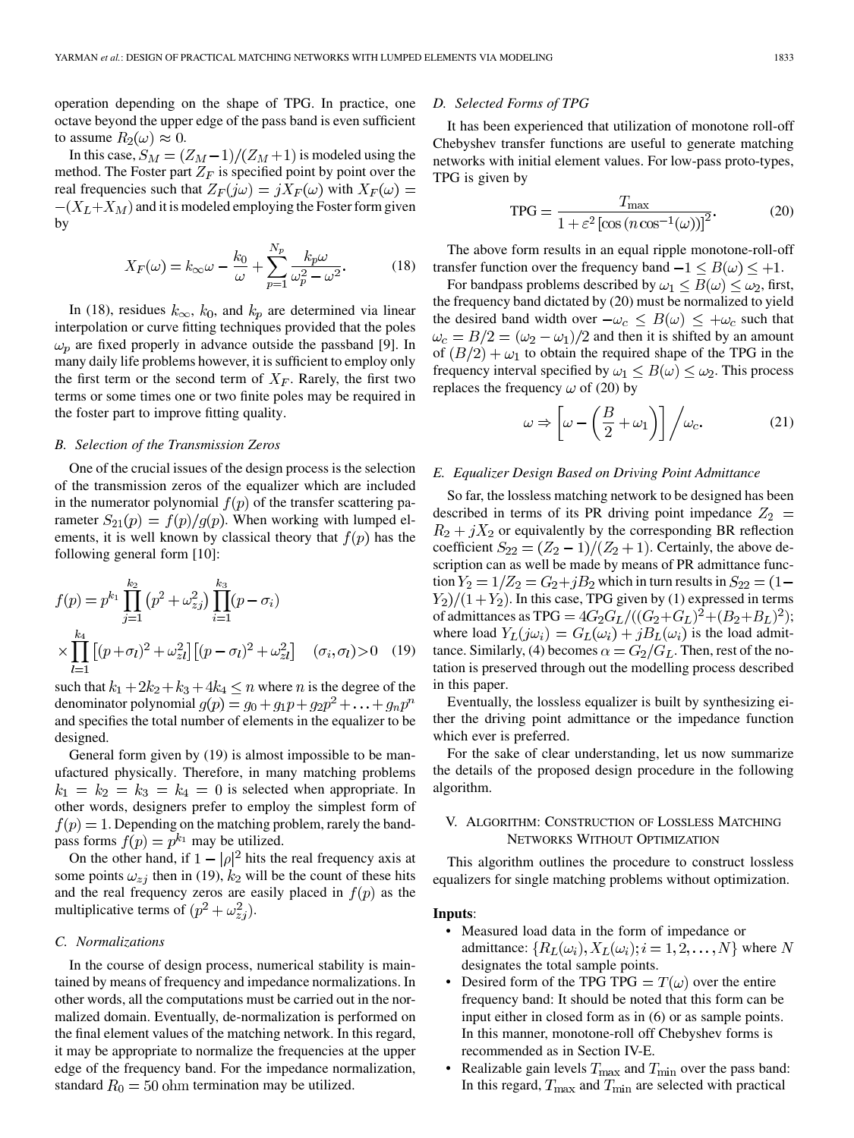operation depending on the shape of TPG. In practice, one octave beyond the upper edge of the pass band is even sufficient to assume  $R_2(\omega) \approx 0$ .

In this case,  $S_M = (Z_M - 1)/(Z_M + 1)$  is modeled using the method. The Foster part  $Z_F$  is specified point by point over the real frequencies such that  $Z_F(j\omega) = jX_F(\omega)$  with  $X_F(\omega) =$  $-(X_L+X_M)$  and it is modeled employing the Foster form given by

$$
X_F(\omega) = k_{\infty}\omega - \frac{k_0}{\omega} + \sum_{p=1}^{N_p} \frac{k_p \omega}{\omega_p^2 - \omega^2}.
$$
 (18)

In (18), residues  $k_{\infty}$ ,  $k_0$ , and  $k_p$  are determined via linear interpolation or curve fitting techniques provided that the poles  $\omega_p$  are fixed properly in advance outside the passband [9]. In many daily life problems however, it is sufficient to employ only the first term or the second term of  $X_F$ . Rarely, the first two terms or some times one or two finite poles may be required in the foster part to improve fitting quality.

#### *B. Selection of the Transmission Zeros*

One of the crucial issues of the design process is the selection of the transmission zeros of the equalizer which are included in the numerator polynomial  $f(p)$  of the transfer scattering parameter  $S_{21}(p) = f(p)/g(p)$ . When working with lumped elements, it is well known by classical theory that  $f(p)$  has the following general form [10]:

$$
f(p) = p^{k_1} \prod_{j=1}^{k_2} (p^2 + \omega_{zj}^2) \prod_{i=1}^{k_3} (p - \sigma_i)
$$
  
 
$$
\times \prod_{l=1}^{k_4} [(p + \sigma_l)^2 + \omega_{zl}^2] [(p - \sigma_l)^2 + \omega_{zl}^2] \quad (\sigma_i, \sigma_l) > 0 \quad (19)
$$

such that  $k_1 + 2k_2 + k_3 + 4k_4 \leq n$  where *n* is the degree of the denominator polynomial  $g(p) = g_0 + g_1 p + g_2 p^2 + \ldots + g_n p^n$ and specifies the total number of elements in the equalizer to be designed.

General form given by (19) is almost impossible to be manufactured physically. Therefore, in many matching problems  $k_1 = k_2 = k_3 = k_4 = 0$  is selected when appropriate. In other words, designers prefer to employ the simplest form of  $f(p) = 1$ . Depending on the matching problem, rarely the bandpass forms  $f(p) = p^{k_1}$  may be utilized.

On the other hand, if  $1 - |\rho|^2$  hits the real frequency axis at some points  $\omega_{zj}$  then in (19),  $k_2$  will be the count of these hits and the real frequency zeros are easily placed in  $f(p)$  as the multiplicative terms of  $(p^2 + \omega_{zi}^2)$ .

### *C. Normalizations*

In the course of design process, numerical stability is maintained by means of frequency and impedance normalizations. In other words, all the computations must be carried out in the normalized domain. Eventually, de-normalization is performed on the final element values of the matching network. In this regard, it may be appropriate to normalize the frequencies at the upper edge of the frequency band. For the impedance normalization, standard  $R_0 = 50$  ohm termination may be utilized.

## *D. Selected Forms of TPG*

It has been experienced that utilization of monotone roll-off Chebyshev transfer functions are useful to generate matching networks with initial element values. For low-pass proto-types, TPG is given by

$$
TPG = \frac{T_{\text{max}}}{1 + \varepsilon^2 \left[ \cos(n \cos^{-1}(\omega)) \right]^2}.
$$
 (20)

The above form results in an equal ripple monotone-roll-off transfer function over the frequency band  $-1 \le B(\omega) \le +1$ .

For bandpass problems described by  $\omega_1 \leq B(\omega) \leq \omega_2$ , first, the frequency band dictated by (20) must be normalized to yield the desired band width over  $-\omega_c \leq B(\omega) \leq +\omega_c$  such that  $\omega_c = B/2 = (\omega_2 - \omega_1)/2$  and then it is shifted by an amount of  $(B/2) + \omega_1$  to obtain the required shape of the TPG in the frequency interval specified by  $\omega_1 \leq B(\omega) \leq \omega_2$ . This process replaces the frequency  $\omega$  of (20) by

$$
\omega \Rightarrow \left[ \omega - \left( \frac{B}{2} + \omega_1 \right) \right] / \omega_c. \tag{21}
$$

#### *E. Equalizer Design Based on Driving Point Admittance*

So far, the lossless matching network to be designed has been described in terms of its PR driving point impedance  $Z_2$  =  $R_2 + jX_2$  or equivalently by the corresponding BR reflection coefficient  $S_{22} = (Z_2 - 1)/(Z_2 + 1)$ . Certainly, the above description can as well be made by means of PR admittance function  $Y_2 = 1/Z_2 = G_2 + jB_2$  which in turn results in  $S_{22} = (1 - jB_2)$  $Y_2)/(1+Y_2)$ . In this case, TPG given by (1) expressed in terms of admittances as TPG =  $4G_2G_L/((G_2+G_L)^2+(B_2+B_L)^2);$ where load  $Y_L(j\omega_i) = G_L(\omega_i) + jB_L(\omega_i)$  is the load admittance. Similarly, (4) becomes  $\alpha = G_2/G_L$ . Then, rest of the notation is preserved through out the modelling process described in this paper.

Eventually, the lossless equalizer is built by synthesizing either the driving point admittance or the impedance function which ever is preferred.

For the sake of clear understanding, let us now summarize the details of the proposed design procedure in the following algorithm.

## V. ALGORITHM: CONSTRUCTION OF LOSSLESS MATCHING NETWORKS WITHOUT OPTIMIZATION

This algorithm outlines the procedure to construct lossless equalizers for single matching problems without optimization.

#### **Inputs**:

- Measured load data in the form of impedance or admittance:  $\{R_L(\omega_i), X_L(\omega_i); i = 1, 2, ..., N\}$  where N designates the total sample points.
- Desired form of the TPG TPG  $T(\omega)$  over the entire frequency band: It should be noted that this form can be input either in closed form as in (6) or as sample points. In this manner, monotone-roll off Chebyshev forms is recommended as in Section IV-E.
- Realizable gain levels  $T_{\text{max}}$  and  $T_{\text{min}}$  over the pass band: In this regard,  $T_{\text{max}}$  and  $T_{\text{min}}$  are selected with practical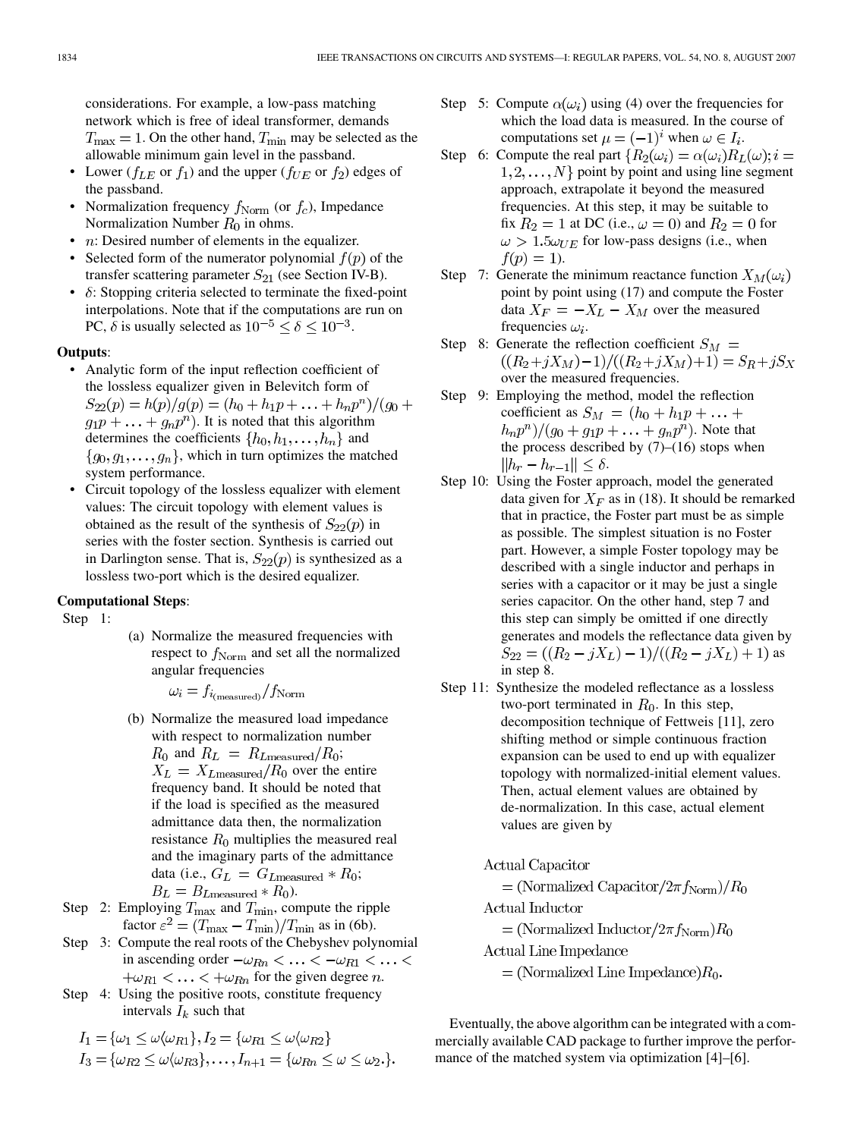considerations. For example, a low-pass matching network which is free of ideal transformer, demands  $T_{\text{max}} = 1$ . On the other hand,  $T_{\text{min}}$  may be selected as the allowable minimum gain level in the passband.

- Lower ( $f_{LE}$  or  $f_1$ ) and the upper ( $f_{UE}$  or  $f_2$ ) edges of the passband.
- Normalization frequency  $f_{\text{Norm}}$  (or  $f_c$ ), Impedance Normalization Number  $R_0$  in ohms.
- $n:$  Desired number of elements in the equalizer.
- Selected form of the numerator polynomial  $f(p)$  of the transfer scattering parameter  $S_{21}$  (see Section IV-B).
- $\delta$ : Stopping criteria selected to terminate the fixed-point interpolations. Note that if the computations are run on PC,  $\delta$  is usually selected as  $10^{-5} < \delta < 10^{-3}$ .

## **Outputs**:

- Analytic form of the input reflection coefficient of the lossless equalizer given in Belevitch form of  $S_{22}(p) = h(p)/g(p) = (h_0 + h_1p + \ldots + h_np^n)/(g_0 +$  $g_1p + \ldots + g_np^n$ ). It is noted that this algorithm determines the coefficients  $\{h_0, h_1, \ldots, h_n\}$  and  $\{g_0, g_1, \ldots, g_n\}$ , which in turn optimizes the matched system performance.
- Circuit topology of the lossless equalizer with element values: The circuit topology with element values is obtained as the result of the synthesis of  $S_{22}(p)$  in series with the foster section. Synthesis is carried out in Darlington sense. That is,  $S_{22}(p)$  is synthesized as a lossless two-port which is the desired equalizer.

### **Computational Steps**:

Step 1:

(a) Normalize the measured frequencies with respect to  $f_{\text{Norm}}$  and set all the normalized angular frequencies

$$
\omega_i = f_{i_{\text{(measured)}}}/f_{\text{Norm}}
$$

- (b) Normalize the measured load impedance with respect to normalization number
- $R_0$  and  $R_L = R_{Lmeasured}/R_0;$  $X_L = X_{Lmeasured}/R_0$  over the entire frequency band. It should be noted that if the load is specified as the measured admittance data then, the normalization resistance  $R_0$  multiplies the measured real and the imaginary parts of the admittance data (i.e.,  $G_L = G_{Lmeasured} * R_0;$  $B_L = B_{Lmeasured} * R_0$ .
- Step 2: Employing  $T_{\text{max}}$  and  $T_{\text{min}}$ , compute the ripple factor  $\varepsilon^2 = (T_{\text{max}} - T_{\text{min}})/T_{\text{min}}$  as in (6b).
- Step 3: Compute the real roots of the Chebyshev polynomial in ascending order  $-\omega_{Rn} < \ldots < -\omega_{R1} < \ldots <$  $f(\omega_{R1} < \ldots < f(\omega_{Rn})$  for the given degree *n*.
- Step 4: Using the positive roots, constitute frequency intervals  $I_k$  such that

$$
I_1 = \{\omega_1 \leq \omega \langle \omega_{R1} \rangle, I_2 = \{\omega_{R1} \leq \omega \langle \omega_{R2} \rangle
$$
  

$$
I_3 = \{\omega_{R2} \leq \omega \langle \omega_{R3} \rangle, \dots, I_{n+1} = \{\omega_{Rn} \leq \omega \leq \omega_2.\}.
$$

- Step 5: Compute  $\alpha(\omega_i)$  using (4) over the frequencies for which the load data is measured. In the course of computations set  $\mu = (-1)^i$  when  $\omega \in I_i$ .
- Step 6: Compute the real part  $\{R_2(\omega_i) = \alpha(\omega_i)R_L(\omega); i =$  $1, 2, \ldots, N$  point by point and using line segment approach, extrapolate it beyond the measured frequencies. At this step, it may be suitable to fix  $R_2 = 1$  at DC (i.e.,  $\omega = 0$ ) and  $R_2 = 0$  for  $\omega > 1.5 \omega_{UE}$  for low-pass designs (i.e., when  $f(p) = 1$ ).
- Step 7: Generate the minimum reactance function  $X_M(\omega_i)$ point by point using (17) and compute the Foster data  $X_F = -X_L - X_M$  over the measured frequencies  $\omega_i$ .
- Step 8: Generate the reflection coefficient  $S_M =$  $((R_2+jX_M)-1)/((R_2+jX_M)+1)=S_R+jS_X$ over the measured frequencies.
- Step 9: Employing the method, model the reflection coefficient as  $S_M = (h_0 + h_1 p + \dots +$  $(h_n p^n)/(g_0 + g_1 p + \ldots + g_n p^n)$ . Note that the process described by  $(7)-(16)$  stops when  $||h_r - h_{r-1}|| \leq \delta.$
- Step 10: Using the Foster approach, model the generated data given for  $X_F$  as in (18). It should be remarked that in practice, the Foster part must be as simple as possible. The simplest situation is no Foster part. However, a simple Foster topology may be described with a single inductor and perhaps in series with a capacitor or it may be just a single series capacitor. On the other hand, step 7 and this step can simply be omitted if one directly generates and models the reflectance data given by  $S_{22} = ((R_2 - jX_L) - 1)/((R_2 - jX_L) + 1)$  as in step 8.
- Step 11: Synthesize the modeled reflectance as a lossless two-port terminated in  $R_0$ . In this step, decomposition technique of Fettweis [11], zero shifting method or simple continuous fraction expansion can be used to end up with equalizer topology with normalized-initial element values. Then, actual element values are obtained by de-normalization. In this case, actual element values are given by

Actual Capacitor

= (Normalized Capacitor/ $2\pi f_{\text{Norm}}$ )/ $R_0$ 

Actual Inductor

 $=$  (Normalized Inductor/2 $\pi f_{\text{Norm}}$ ) $R_0$ 

Actual Line Impedance

 $=$  (Normalized Line Impedance) $R_0$ .

Eventually, the above algorithm can be integrated with a commercially available CAD package to further improve the performance of the matched system via optimization [4]–[6].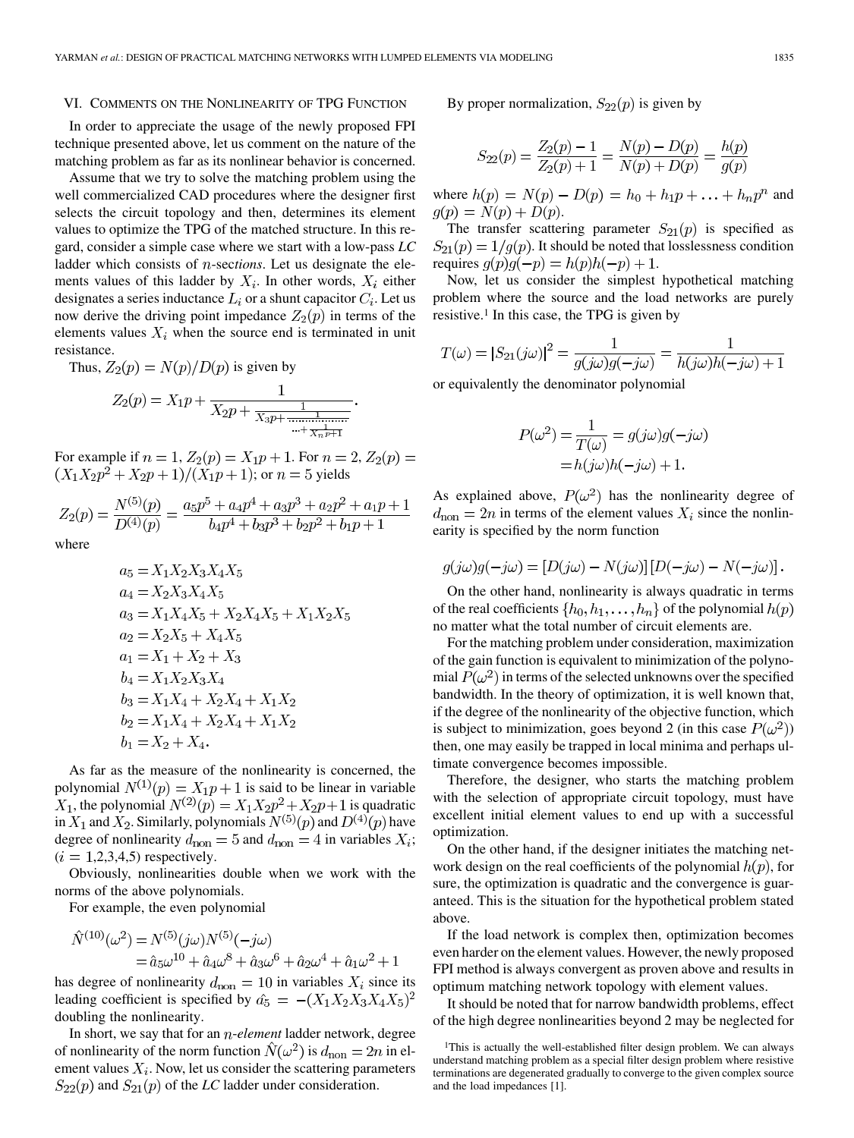#### VI. COMMENTS ON THE NONLINEARITY OF TPG FUNCTION

In order to appreciate the usage of the newly proposed FPI technique presented above, let us comment on the nature of the matching problem as far as its nonlinear behavior is concerned.

Assume that we try to solve the matching problem using the well commercialized CAD procedures where the designer first selects the circuit topology and then, determines its element values to optimize the TPG of the matched structure. In this regard, consider a simple case where we start with a low-pass *LC* ladder which consists of *n*-sections. Let us designate the elements values of this ladder by  $X_i$ . In other words,  $X_i$  either designates a series inductance  $L_i$  or a shunt capacitor  $C_i$ . Let us now derive the driving point impedance  $Z_2(p)$  in terms of the elements values  $X_i$  when the source end is terminated in unit resistance.

Thus,  $Z_2(p) = N(p)/D(p)$  is given by

$$
Z_2(p) = X_1 p + \frac{1}{X_2 p + \frac{1}{X_3 p + \frac{1}{\dots + \frac{1}{X_n p + 1}}}}
$$

For example if  $n = 1$ ,  $Z_2(p) = X_1p + 1$ . For  $n = 2$ ,  $Z_2(p) =$  $(X_1X_2p^2 + X_2p + 1)/(X_1p + 1)$ ; or  $n = 5$  yields

$$
Z_2(p) = \frac{N^{(5)}(p)}{D^{(4)}(p)} = \frac{a_5p^5 + a_4p^4 + a_3p^3 + a_2p^2 + a_1p + 1}{b_4p^4 + b_3p^3 + b_2p^2 + b_1p + 1}
$$

where

$$
a_5 = X_1 X_2 X_3 X_4 X_5
$$
  
\n
$$
a_4 = X_2 X_3 X_4 X_5
$$
  
\n
$$
a_3 = X_1 X_4 X_5 + X_2 X_4 X_5 + X_1 X_2 X_5
$$
  
\n
$$
a_2 = X_2 X_5 + X_4 X_5
$$
  
\n
$$
a_1 = X_1 + X_2 + X_3
$$
  
\n
$$
b_4 = X_1 X_2 X_3 X_4
$$
  
\n
$$
b_3 = X_1 X_4 + X_2 X_4 + X_1 X_2
$$
  
\n
$$
b_2 = X_1 X_4 + X_2 X_4 + X_1 X_2
$$
  
\n
$$
b_1 = X_2 + X_4.
$$

As far as the measure of the nonlinearity is concerned, the polynomial  $N^{(1)}(p) = X_1 p + 1$  is said to be linear in variable  $X_1$ , the polynomial  $N^{(2)}(p) = X_1 X_2 p^2 + X_2 p + 1$  is quadratic in  $X_1$  and  $X_2$ . Similarly, polynomials  $N^{(5)}(p)$  and  $D^{(4)}(p)$  have degree of nonlinearity  $d_{\text{non}} = 5$  and  $d_{\text{non}} = 4$  in variables  $X_i$ ;  $(i = 1,2,3,4,5)$  respectively.

Obviously, nonlinearities double when we work with the norms of the above polynomials.

For example, the even polynomial

$$
\hat{N}^{(10)}(\omega^2) = N^{(5)}(j\omega)N^{(5)}(-j\omega) \n= \hat{a}_5\omega^{10} + \hat{a}_4\omega^8 + \hat{a}_3\omega^6 + \hat{a}_2\omega^4 + \hat{a}_1\omega^2 + 1
$$

has degree of nonlinearity  $d_{\text{non}} = 10$  in variables  $X_i$  since its leading coefficient is specified by  $\hat{a}_5 = -(X_1 X_2 X_3 X_4 X_5)^2$ doubling the nonlinearity.

In short, we say that for an *n-element* ladder network, degree of nonlinearity of the norm function  $\hat{N}(\omega^2)$  is  $d_{\text{non}} = 2n$  in element values  $X_i$ . Now, let us consider the scattering parameters  $S_{22}(p)$  and  $S_{21}(p)$  of the *LC* ladder under consideration.

By proper normalization,  $S_{22}(p)$  is given by

$$
S_{22}(p) = \frac{Z_2(p) - 1}{Z_2(p) + 1} = \frac{N(p) - D(p)}{N(p) + D(p)} = \frac{h(p)}{g(p)}
$$

where  $h(p) = N(p) - D(p) = h_0 + h_1 p + \ldots + h_n p^n$  and  $g(p) = N(p) + D(p).$ 

The transfer scattering parameter  $S_{21}(p)$  is specified as  $S_{21}(p) = 1/g(p)$ . It should be noted that losslessness condition requires  $g(p)g(-p) = h(p)h(-p) + 1$ .

Now, let us consider the simplest hypothetical matching problem where the source and the load networks are purely resistive.1 In this case, the TPG is given by

$$
T(\omega) = |S_{21}(j\omega)|^2 = \frac{1}{g(j\omega)g(-j\omega)} = \frac{1}{h(j\omega)h(-j\omega) + 1}
$$

or equivalently the denominator polynomial

$$
P(\omega^2) = \frac{1}{T(\omega)} = g(j\omega)g(-j\omega)
$$

$$
= h(j\omega)h(-j\omega) + 1.
$$

As explained above,  $P(\omega^2)$  has the nonlinearity degree of  $d_{\text{non}} = 2n$  in terms of the element values  $X_i$  since the nonlinearity is specified by the norm function

$$
g(j\omega)g(-j\omega) = [D(j\omega) - N(j\omega)][D(-j\omega) - N(-j\omega)].
$$

On the other hand, nonlinearity is always quadratic in terms of the real coefficients  $\{h_0, h_1, \ldots, h_n\}$  of the polynomial  $h(p)$ no matter what the total number of circuit elements are.

For the matching problem under consideration, maximization of the gain function is equivalent to minimization of the polynomial  $P(\omega^2)$  in terms of the selected unknowns over the specified bandwidth. In the theory of optimization, it is well known that, if the degree of the nonlinearity of the objective function, which is subject to minimization, goes beyond 2 (in this case  $P(\omega^2)$ ) then, one may easily be trapped in local minima and perhaps ultimate convergence becomes impossible.

Therefore, the designer, who starts the matching problem with the selection of appropriate circuit topology, must have excellent initial element values to end up with a successful optimization.

On the other hand, if the designer initiates the matching network design on the real coefficients of the polynomial  $h(p)$ , for sure, the optimization is quadratic and the convergence is guaranteed. This is the situation for the hypothetical problem stated above.

If the load network is complex then, optimization becomes even harder on the element values. However, the newly proposed FPI method is always convergent as proven above and results in optimum matching network topology with element values.

It should be noted that for narrow bandwidth problems, effect of the high degree nonlinearities beyond 2 may be neglected for

<sup>&</sup>lt;sup>1</sup>This is actually the well-established filter design problem. We can always understand matching problem as a special filter design problem where resistive terminations are degenerated gradually to converge to the given complex source and the load impedances [1].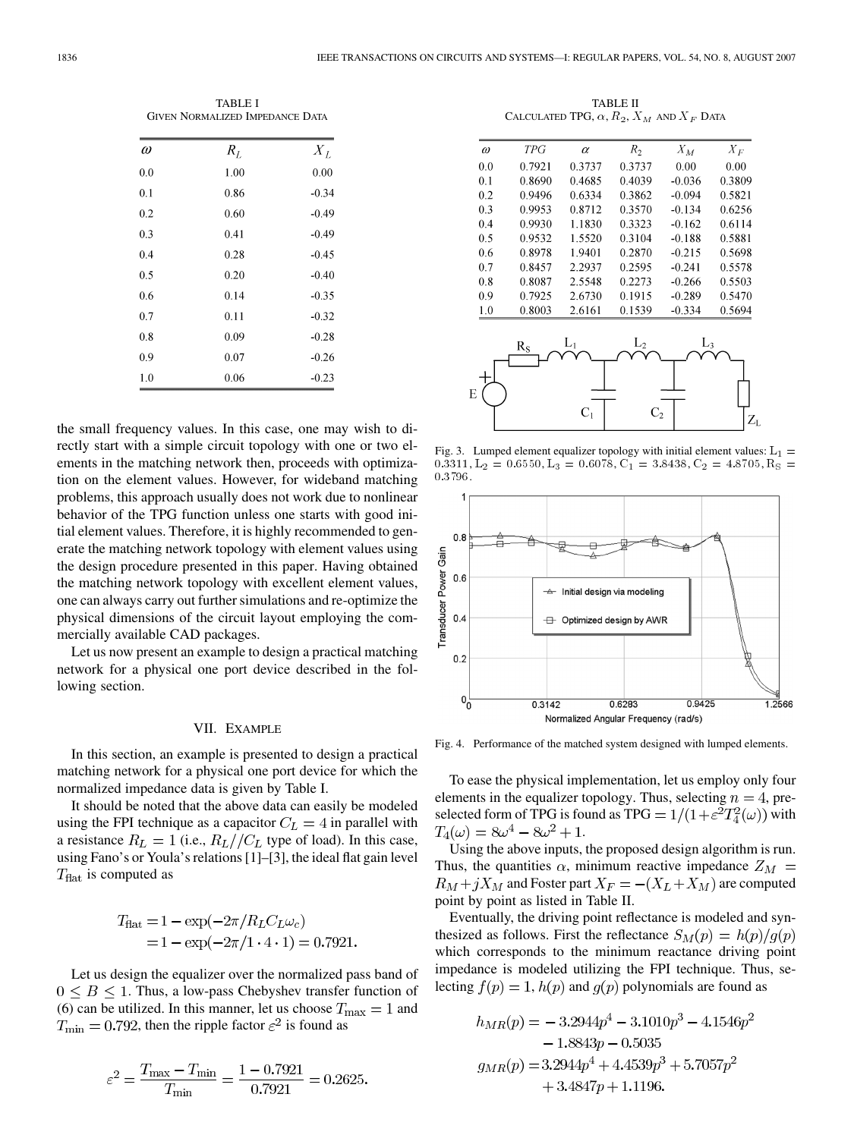TABLE I GIVEN NORMALIZED IMPEDANCE DATA

| $\omega$ | $R_L$ | $X_L$   |
|----------|-------|---------|
| 0.0      | 1.00  | 0.00    |
| 0.1      | 0.86  | $-0.34$ |
| 0.2      | 0.60  | $-0.49$ |
| 0.3      | 0.41  | $-0.49$ |
| 0.4      | 0.28  | $-0.45$ |
| 0.5      | 0.20  | $-0.40$ |
| 0.6      | 0.14  | $-0.35$ |
| 0.7      | 0.11  | $-0.32$ |
| 0.8      | 0.09  | $-0.28$ |
| 0.9      | 0.07  | $-0.26$ |
| 1.0      | 0.06  | $-0.23$ |

the small frequency values. In this case, one may wish to directly start with a simple circuit topology with one or two elements in the matching network then, proceeds with optimization on the element values. However, for wideband matching problems, this approach usually does not work due to nonlinear behavior of the TPG function unless one starts with good initial element values. Therefore, it is highly recommended to generate the matching network topology with element values using the design procedure presented in this paper. Having obtained the matching network topology with excellent element values, one can always carry out further simulations and re-optimize the physical dimensions of the circuit layout employing the commercially available CAD packages.

Let us now present an example to design a practical matching network for a physical one port device described in the following section.

### VII. EXAMPLE

In this section, an example is presented to design a practical matching network for a physical one port device for which the normalized impedance data is given by Table I.

It should be noted that the above data can easily be modeled using the FPI technique as a capacitor  $C_L = 4$  in parallel with a resistance  $R_L = 1$  (i.e.,  $R_L // C_L$  type of load). In this case, using Fano's or Youla's relations [1]–[3], the ideal flat gain level  $T_{\text{flat}}$  is computed as

$$
T_{\text{flat}} = 1 - \exp(-2\pi/R_L C_L \omega_c)
$$
  
= 1 - \exp(-2\pi/1 \cdot 4 \cdot 1) = 0.7921.

Let us design the equalizer over the normalized pass band of  $0 \leq B \leq 1$ . Thus, a low-pass Chebyshev transfer function of (6) can be utilized. In this manner, let us choose  $T_{\text{max}} = 1$  and  $T_{\text{min}} = 0.792$ , then the ripple factor  $\varepsilon^2$  is found as

$$
\varepsilon^2 = \frac{T_{\text{max}} - T_{\text{min}}}{T_{\text{min}}} = \frac{1 - 0.7921}{0.7921} = 0.2625.
$$

TABLE II CALCULATED TPG,  $\alpha$ ,  $R_2$ ,  $X_M$  and  $X_F$  Data

| ω   | <b>TPG</b> | $\alpha$ | $R_2$  | $X_M$    | $X_F$  |
|-----|------------|----------|--------|----------|--------|
| 0.0 | 0.7921     | 0.3737   | 0.3737 | 0.00     | 0.00   |
| .1  | 0.8690     | 0.4685   | 0.4039 | $-0.036$ | 0.3809 |
| .2  | 0.9496     | 0.6334   | 0.3862 | $-0.094$ | 0.5821 |
| ۱.3 | 0.9953     | 0.8712   | 0.3570 | $-0.134$ | 0.6256 |
| .4  | 0.9930     | 1.1830   | 0.3323 | $-0.162$ | 0.6114 |
| 5.ا | 0.9532     | 1.5520   | 0.3104 | $-0.188$ | 0.5881 |
| 1.6 | 0.8978     | 1.9401   | 0.2870 | $-0.215$ | 0.5698 |
| ۱.7 | 0.8457     | 2.2937   | 0.2595 | $-0.241$ | 0.5578 |
| .8  | 0.8087     | 2.5548   | 0.2273 | $-0.266$ | 0.5503 |
| ۱.9 | 0.7925     | 2.6730   | 0.1915 | $-0.289$ | 0.5470 |
| .0  | 0.8003     | 2.6161   | 0.1539 | $-0.334$ | 0.5694 |



Fig. 3. Lumped element equalizer topology with initial element values:  $L_1 =$ 0.3311, L<sub>2</sub> = 0.6550, L<sub>3</sub> = 0.6078, C<sub>1</sub> = 3.8438, C<sub>2</sub> = 4.8705, R<sub>S</sub> = 0:3796.



Fig. 4. Performance of the matched system designed with lumped elements.

To ease the physical implementation, let us employ only four elements in the equalizer topology. Thus, selecting  $n = 4$ , preselected form of TPG is found as TPG =  $1/(1+\varepsilon^2 T_4^2(\omega))$  with  $T_4(\omega) = 8\omega^4 - 8\omega^2 + 1.$ 

Using the above inputs, the proposed design algorithm is run. Thus, the quantities  $\alpha$ , minimum reactive impedance  $Z_M$  =  $R_M + jX_M$  and Foster part  $X_F = -(X_L + X_M)$  are computed point by point as listed in Table II.

Eventually, the driving point reflectance is modeled and synthesized as follows. First the reflectance  $S_M(p) = h(p)/g(p)$ which corresponds to the minimum reactance driving point impedance is modeled utilizing the FPI technique. Thus, selecting  $f(p) = 1$ ,  $h(p)$  and  $g(p)$  polynomials are found as

 $\overline{c}$ 

$$
h_{MR}(p) = -3.2944p^{4} - 3.1010p^{3} - 4.1546p - 1.8843p - 0.5035
$$
  
\n
$$
g_{MR}(p) = 3.2944p^{4} + 4.4539p^{3} + 5.7057p^{2} + 3.4847p + 1.1196.
$$